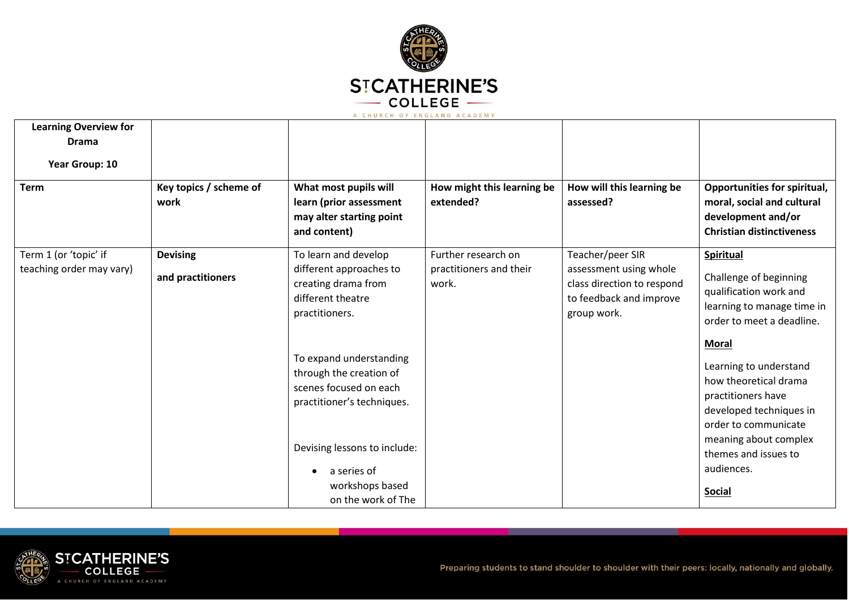

| <b>Learning Overview for</b><br><b>Drama</b> |                                |                                                                                                                                                                              |                                         |                                                                                                |                                                                                                                                                                                         |
|----------------------------------------------|--------------------------------|------------------------------------------------------------------------------------------------------------------------------------------------------------------------------|-----------------------------------------|------------------------------------------------------------------------------------------------|-----------------------------------------------------------------------------------------------------------------------------------------------------------------------------------------|
| Year Group: 10                               |                                |                                                                                                                                                                              |                                         |                                                                                                |                                                                                                                                                                                         |
| <b>Term</b>                                  | Key topics / scheme of<br>work | What most pupils will<br>learn (prior assessment<br>may alter starting point<br>and content)                                                                                 | How might this learning be<br>extended? | How will this learning be<br>assessed?                                                         | <b>Opportunities for spiritual,</b><br>moral, social and cultural<br>development and/or<br><b>Christian distinctiveness</b>                                                             |
| Term 1 (or 'topic' if                        | <b>Devising</b>                | To learn and develop                                                                                                                                                         | Further research on                     | Teacher/peer SIR                                                                               | <b>Spiritual</b>                                                                                                                                                                        |
| teaching order may vary)                     | and practitioners              | different approaches to<br>creating drama from<br>different theatre<br>practitioners.                                                                                        | practitioners and their<br>work.        | assessment using whole<br>class direction to respond<br>to feedback and improve<br>group work. | Challenge of beginning<br>qualification work and<br>learning to manage time in<br>order to meet a deadline.<br><b>Moral</b>                                                             |
|                                              |                                | To expand understanding<br>through the creation of<br>scenes focused on each<br>practitioner's techniques.<br>Devising lessons to include:<br>a series of<br>workshops based |                                         |                                                                                                | Learning to understand<br>how theoretical drama<br>practitioners have<br>developed techniques in<br>order to communicate<br>meaning about complex<br>themes and issues to<br>audiences. |
|                                              |                                | on the work of The                                                                                                                                                           |                                         |                                                                                                | <b>Social</b>                                                                                                                                                                           |

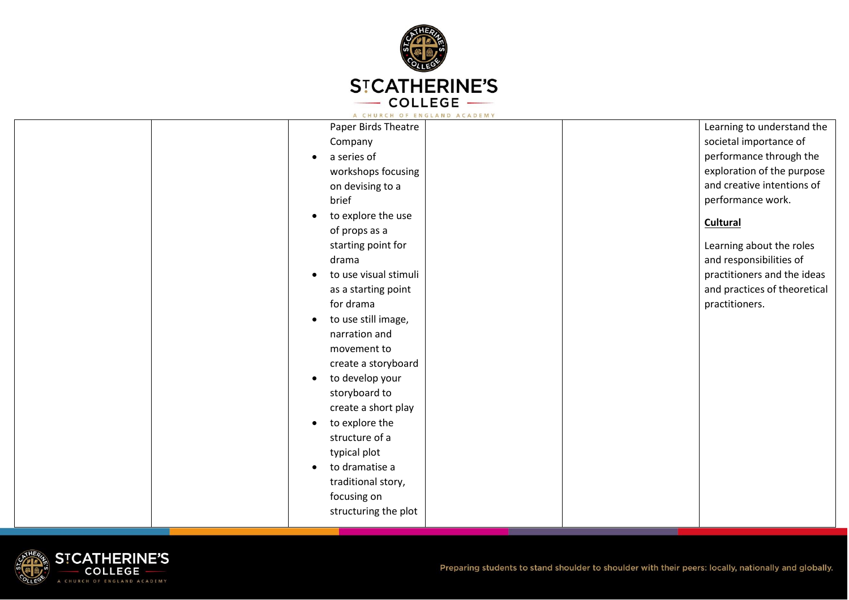

| Paper Birds Theatre              | Learning to understand the   |
|----------------------------------|------------------------------|
| Company                          | societal importance of       |
| a series of                      | performance through the      |
| workshops focusing               | exploration of the purpose   |
| on devising to a                 | and creative intentions of   |
| brief                            | performance work.            |
| to explore the use               | <b>Cultural</b>              |
| of props as a                    |                              |
| starting point for               | Learning about the roles     |
| drama                            | and responsibilities of      |
| to use visual stimuli            | practitioners and the ideas  |
| as a starting point              | and practices of theoretical |
| for drama                        | practitioners.               |
| to use still image,<br>$\bullet$ |                              |
| narration and                    |                              |
| movement to                      |                              |
| create a storyboard              |                              |
| to develop your                  |                              |
| storyboard to                    |                              |
| create a short play              |                              |
| to explore the                   |                              |
| structure of a                   |                              |
| typical plot                     |                              |
| to dramatise a                   |                              |
| traditional story,               |                              |
| focusing on                      |                              |
| structuring the plot             |                              |
|                                  |                              |

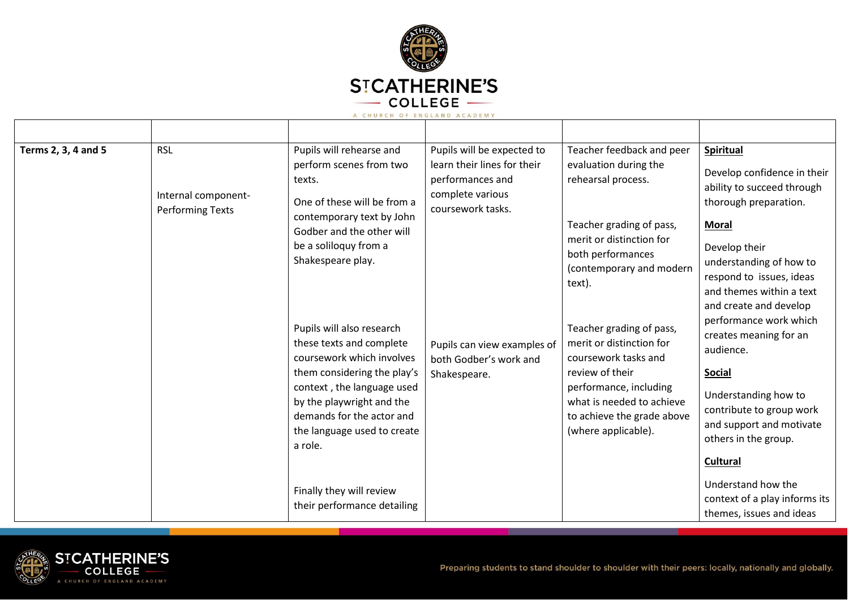

| Terms 2, 3, 4 and 5 | <b>RSL</b><br>Internal component-<br><b>Performing Texts</b> | Pupils will rehearse and<br>perform scenes from two<br>texts.<br>One of these will be from a<br>contemporary text by John<br>Godber and the other will<br>be a soliloquy from a<br>Shakespeare play.                                                                            | Pupils will be expected to<br>learn their lines for their<br>performances and<br>complete various<br>coursework tasks. | Teacher feedback and peer<br>evaluation during the<br>rehearsal process.<br>Teacher grading of pass,<br>merit or distinction for<br>both performances<br>(contemporary and modern<br>text).                 | <b>Spiritual</b><br>Develop confidence in their<br>ability to succeed through<br>thorough preparation.<br><b>Moral</b><br>Develop their<br>understanding of how to<br>respond to issues, ideas<br>and themes within a text<br>and create and develop |
|---------------------|--------------------------------------------------------------|---------------------------------------------------------------------------------------------------------------------------------------------------------------------------------------------------------------------------------------------------------------------------------|------------------------------------------------------------------------------------------------------------------------|-------------------------------------------------------------------------------------------------------------------------------------------------------------------------------------------------------------|------------------------------------------------------------------------------------------------------------------------------------------------------------------------------------------------------------------------------------------------------|
|                     |                                                              | Pupils will also research<br>these texts and complete<br>coursework which involves<br>them considering the play's<br>context, the language used<br>by the playwright and the<br>demands for the actor and<br>the language used to create<br>a role.<br>Finally they will review | Pupils can view examples of<br>both Godber's work and<br>Shakespeare.                                                  | Teacher grading of pass,<br>merit or distinction for<br>coursework tasks and<br>review of their<br>performance, including<br>what is needed to achieve<br>to achieve the grade above<br>(where applicable). | performance work which<br>creates meaning for an<br>audience.<br><b>Social</b><br>Understanding how to<br>contribute to group work<br>and support and motivate<br>others in the group.<br>Cultural<br>Understand how the                             |
|                     |                                                              | their performance detailing                                                                                                                                                                                                                                                     |                                                                                                                        |                                                                                                                                                                                                             | context of a play informs its<br>themes, issues and ideas                                                                                                                                                                                            |

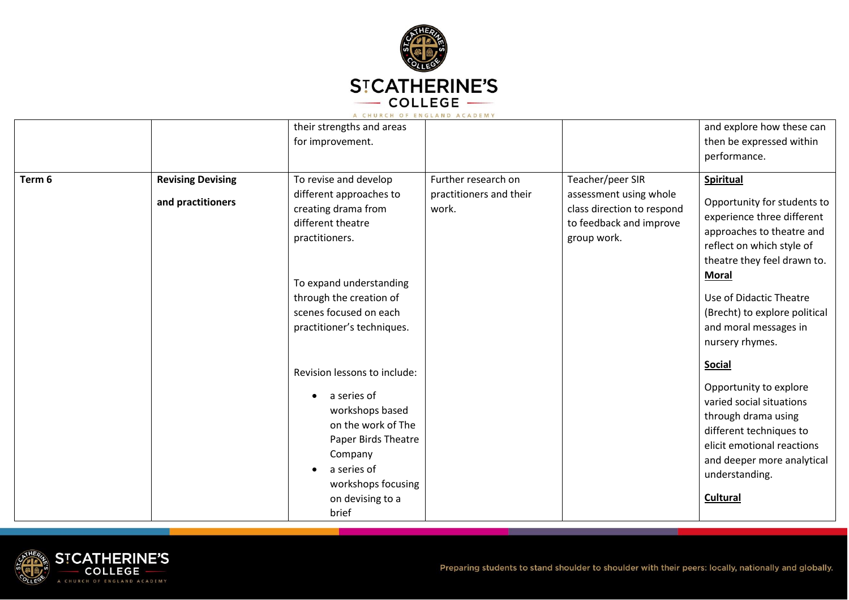

|        |                                               | their strengths and areas<br>for improvement.                                                                                                                                                                                |                                                         |                                                                                                                    | and explore how these can<br>then be expressed within                                                                                                                                                                                                                                          |
|--------|-----------------------------------------------|------------------------------------------------------------------------------------------------------------------------------------------------------------------------------------------------------------------------------|---------------------------------------------------------|--------------------------------------------------------------------------------------------------------------------|------------------------------------------------------------------------------------------------------------------------------------------------------------------------------------------------------------------------------------------------------------------------------------------------|
|        |                                               |                                                                                                                                                                                                                              |                                                         |                                                                                                                    | performance.                                                                                                                                                                                                                                                                                   |
| Term 6 | <b>Revising Devising</b><br>and practitioners | To revise and develop<br>different approaches to<br>creating drama from<br>different theatre<br>practitioners.<br>To expand understanding<br>through the creation of<br>scenes focused on each<br>practitioner's techniques. | Further research on<br>practitioners and their<br>work. | Teacher/peer SIR<br>assessment using whole<br>class direction to respond<br>to feedback and improve<br>group work. | <b>Spiritual</b><br>Opportunity for students to<br>experience three different<br>approaches to theatre and<br>reflect on which style of<br>theatre they feel drawn to.<br><b>Moral</b><br>Use of Didactic Theatre<br>(Brecht) to explore political<br>and moral messages in<br>nursery rhymes. |
|        |                                               | Revision lessons to include:<br>a series of<br>workshops based<br>on the work of The<br>Paper Birds Theatre<br>Company<br>a series of<br>$\bullet$<br>workshops focusing<br>on devising to a<br>brief                        |                                                         |                                                                                                                    | <b>Social</b><br>Opportunity to explore<br>varied social situations<br>through drama using<br>different techniques to<br>elicit emotional reactions<br>and deeper more analytical<br>understanding.<br><b>Cultural</b>                                                                         |